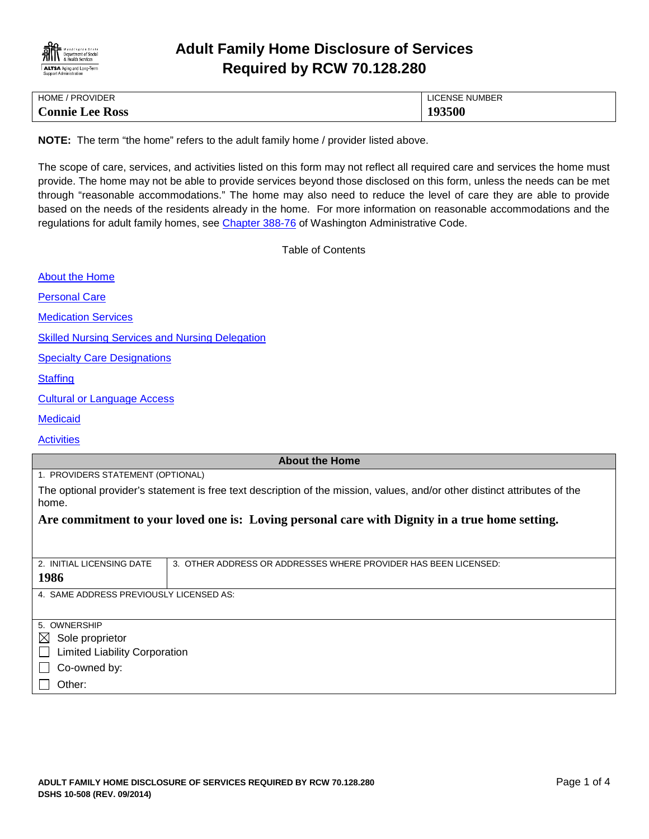

# **Adult Family Home Disclosure of Services Required by RCW 70.128.280**

| HOME / PROVIDER        | LICENSE NUMBER |
|------------------------|----------------|
| <b>Connie Lee Ross</b> | 193500         |

**NOTE:** The term "the home" refers to the adult family home / provider listed above.

The scope of care, services, and activities listed on this form may not reflect all required care and services the home must provide. The home may not be able to provide services beyond those disclosed on this form, unless the needs can be met through "reasonable accommodations." The home may also need to reduce the level of care they are able to provide based on the needs of the residents already in the home. For more information on reasonable accommodations and the regulations for adult family homes, see [Chapter 388-76](http://apps.leg.wa.gov/WAC/default.aspx?cite=388-76) of Washington Administrative Code.

<span id="page-0-0"></span>Table of Contents

| <b>About the Home</b>                                                                                                               |                                                                 |  |
|-------------------------------------------------------------------------------------------------------------------------------------|-----------------------------------------------------------------|--|
| <b>Personal Care</b>                                                                                                                |                                                                 |  |
| <b>Medication Services</b>                                                                                                          |                                                                 |  |
| <b>Skilled Nursing Services and Nursing Delegation</b>                                                                              |                                                                 |  |
| <b>Specialty Care Designations</b>                                                                                                  |                                                                 |  |
| <b>Staffing</b>                                                                                                                     |                                                                 |  |
| <b>Cultural or Language Access</b>                                                                                                  |                                                                 |  |
| <b>Medicaid</b>                                                                                                                     |                                                                 |  |
| <b>Activities</b>                                                                                                                   |                                                                 |  |
| <b>About the Home</b>                                                                                                               |                                                                 |  |
| 1. PROVIDERS STATEMENT (OPTIONAL)                                                                                                   |                                                                 |  |
| The optional provider's statement is free text description of the mission, values, and/or other distinct attributes of the<br>home. |                                                                 |  |
| Are commitment to your loved one is: Loving personal care with Dignity in a true home setting.                                      |                                                                 |  |
|                                                                                                                                     |                                                                 |  |
|                                                                                                                                     |                                                                 |  |
| 2. INITIAL LICENSING DATE                                                                                                           | 3. OTHER ADDRESS OR ADDRESSES WHERE PROVIDER HAS BEEN LICENSED: |  |
| 1986                                                                                                                                |                                                                 |  |
| 4. SAME ADDRESS PREVIOUSLY LICENSED AS:                                                                                             |                                                                 |  |
|                                                                                                                                     |                                                                 |  |
| 5. OWNERSHIP                                                                                                                        |                                                                 |  |
| Sole proprietor<br>$\boxtimes$                                                                                                      |                                                                 |  |
| <b>Limited Liability Corporation</b>                                                                                                |                                                                 |  |
| Co-owned by:                                                                                                                        |                                                                 |  |
| Other:                                                                                                                              |                                                                 |  |
|                                                                                                                                     |                                                                 |  |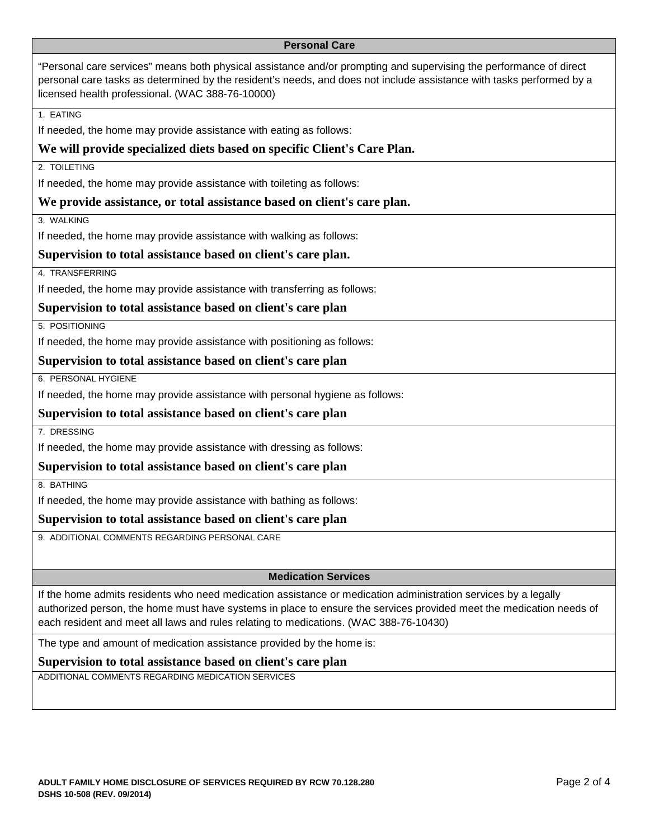### <span id="page-1-0"></span>**Personal Care**

| "Personal care services" means both physical assistance and/or prompting and supervising the performance of direct<br>personal care tasks as determined by the resident's needs, and does not include assistance with tasks performed by a<br>licensed health professional. (WAC 388-76-10000)                                 |
|--------------------------------------------------------------------------------------------------------------------------------------------------------------------------------------------------------------------------------------------------------------------------------------------------------------------------------|
| 1. EATING                                                                                                                                                                                                                                                                                                                      |
| If needed, the home may provide assistance with eating as follows:                                                                                                                                                                                                                                                             |
| We will provide specialized diets based on specific Client's Care Plan.                                                                                                                                                                                                                                                        |
| 2. TOILETING                                                                                                                                                                                                                                                                                                                   |
| If needed, the home may provide assistance with toileting as follows:                                                                                                                                                                                                                                                          |
| We provide assistance, or total assistance based on client's care plan.                                                                                                                                                                                                                                                        |
| 3. WALKING                                                                                                                                                                                                                                                                                                                     |
| If needed, the home may provide assistance with walking as follows:                                                                                                                                                                                                                                                            |
| Supervision to total assistance based on client's care plan.                                                                                                                                                                                                                                                                   |
| 4. TRANSFERRING                                                                                                                                                                                                                                                                                                                |
| If needed, the home may provide assistance with transferring as follows:                                                                                                                                                                                                                                                       |
| Supervision to total assistance based on client's care plan                                                                                                                                                                                                                                                                    |
| 5. POSITIONING                                                                                                                                                                                                                                                                                                                 |
| If needed, the home may provide assistance with positioning as follows:                                                                                                                                                                                                                                                        |
|                                                                                                                                                                                                                                                                                                                                |
| Supervision to total assistance based on client's care plan                                                                                                                                                                                                                                                                    |
| 6. PERSONAL HYGIENE                                                                                                                                                                                                                                                                                                            |
| If needed, the home may provide assistance with personal hygiene as follows:                                                                                                                                                                                                                                                   |
| Supervision to total assistance based on client's care plan                                                                                                                                                                                                                                                                    |
| 7. DRESSING                                                                                                                                                                                                                                                                                                                    |
| If needed, the home may provide assistance with dressing as follows:                                                                                                                                                                                                                                                           |
| Supervision to total assistance based on client's care plan                                                                                                                                                                                                                                                                    |
| 8. BATHING                                                                                                                                                                                                                                                                                                                     |
| If needed, the home may provide assistance with bathing as follows:                                                                                                                                                                                                                                                            |
| Supervision to total assistance based on client's care plan                                                                                                                                                                                                                                                                    |
| 9. ADDITIONAL COMMENTS REGARDING PERSONAL CARE                                                                                                                                                                                                                                                                                 |
|                                                                                                                                                                                                                                                                                                                                |
| <b>Medication Services</b>                                                                                                                                                                                                                                                                                                     |
| If the home admits residents who need medication assistance or medication administration services by a legally<br>authorized person, the home must have systems in place to ensure the services provided meet the medication needs of<br>each resident and meet all laws and rules relating to medications. (WAC 388-76-10430) |

## <span id="page-1-1"></span>**Supervision to total assistance based on client's care plan**

ADDITIONAL COMMENTS REGARDING MEDICATION SERVICES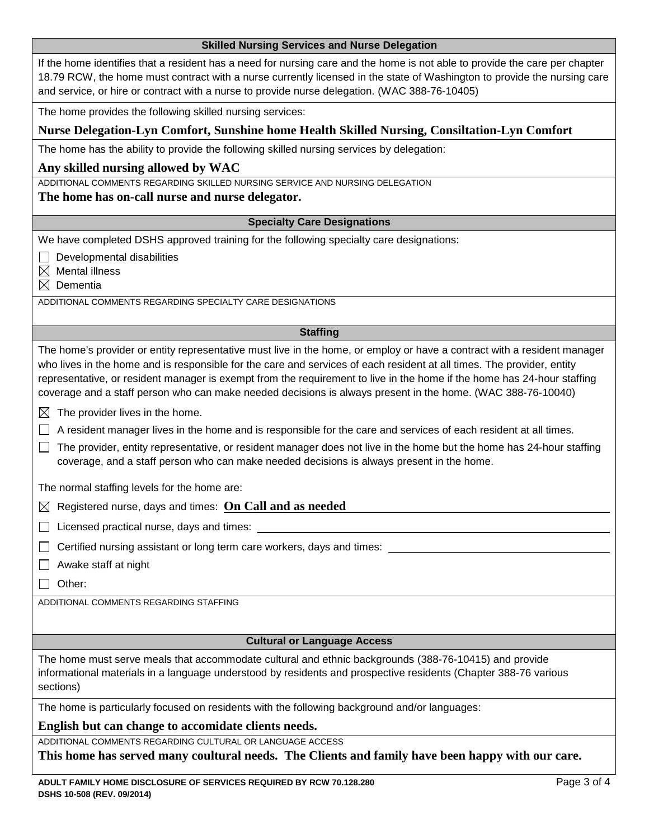<span id="page-2-3"></span><span id="page-2-2"></span><span id="page-2-1"></span><span id="page-2-0"></span>

| <b>Skilled Nursing Services and Nurse Delegation</b>                                                                                                                                                                                                                                                                                                                                                                                                                                         |
|----------------------------------------------------------------------------------------------------------------------------------------------------------------------------------------------------------------------------------------------------------------------------------------------------------------------------------------------------------------------------------------------------------------------------------------------------------------------------------------------|
| If the home identifies that a resident has a need for nursing care and the home is not able to provide the care per chapter<br>18.79 RCW, the home must contract with a nurse currently licensed in the state of Washington to provide the nursing care<br>and service, or hire or contract with a nurse to provide nurse delegation. (WAC 388-76-10405)                                                                                                                                     |
| The home provides the following skilled nursing services:                                                                                                                                                                                                                                                                                                                                                                                                                                    |
| Nurse Delegation-Lyn Comfort, Sunshine home Health Skilled Nursing, Consiltation-Lyn Comfort                                                                                                                                                                                                                                                                                                                                                                                                 |
| The home has the ability to provide the following skilled nursing services by delegation:                                                                                                                                                                                                                                                                                                                                                                                                    |
| Any skilled nursing allowed by WAC                                                                                                                                                                                                                                                                                                                                                                                                                                                           |
| ADDITIONAL COMMENTS REGARDING SKILLED NURSING SERVICE AND NURSING DELEGATION                                                                                                                                                                                                                                                                                                                                                                                                                 |
| The home has on-call nurse and nurse delegator.                                                                                                                                                                                                                                                                                                                                                                                                                                              |
| <b>Specialty Care Designations</b>                                                                                                                                                                                                                                                                                                                                                                                                                                                           |
| We have completed DSHS approved training for the following specialty care designations:                                                                                                                                                                                                                                                                                                                                                                                                      |
| Developmental disabilities                                                                                                                                                                                                                                                                                                                                                                                                                                                                   |
| <b>Mental illness</b><br>$\boxtimes$<br>Dementia<br>$\bowtie$                                                                                                                                                                                                                                                                                                                                                                                                                                |
| ADDITIONAL COMMENTS REGARDING SPECIALTY CARE DESIGNATIONS                                                                                                                                                                                                                                                                                                                                                                                                                                    |
|                                                                                                                                                                                                                                                                                                                                                                                                                                                                                              |
| <b>Staffing</b>                                                                                                                                                                                                                                                                                                                                                                                                                                                                              |
| The home's provider or entity representative must live in the home, or employ or have a contract with a resident manager<br>who lives in the home and is responsible for the care and services of each resident at all times. The provider, entity<br>representative, or resident manager is exempt from the requirement to live in the home if the home has 24-hour staffing<br>coverage and a staff person who can make needed decisions is always present in the home. (WAC 388-76-10040) |
| The provider lives in the home.<br>$\boxtimes$                                                                                                                                                                                                                                                                                                                                                                                                                                               |
| A resident manager lives in the home and is responsible for the care and services of each resident at all times.                                                                                                                                                                                                                                                                                                                                                                             |
| The provider, entity representative, or resident manager does not live in the home but the home has 24-hour staffing<br>coverage, and a staff person who can make needed decisions is always present in the home.                                                                                                                                                                                                                                                                            |
| The normal staffing levels for the home are:                                                                                                                                                                                                                                                                                                                                                                                                                                                 |
| $\boxtimes$ Registered nurse, days and times: On Call and as needed                                                                                                                                                                                                                                                                                                                                                                                                                          |
| Licensed practical nurse, days and times:                                                                                                                                                                                                                                                                                                                                                                                                                                                    |
| Certified nursing assistant or long term care workers, days and times:                                                                                                                                                                                                                                                                                                                                                                                                                       |
| Awake staff at night                                                                                                                                                                                                                                                                                                                                                                                                                                                                         |
| Other:                                                                                                                                                                                                                                                                                                                                                                                                                                                                                       |
| ADDITIONAL COMMENTS REGARDING STAFFING                                                                                                                                                                                                                                                                                                                                                                                                                                                       |
|                                                                                                                                                                                                                                                                                                                                                                                                                                                                                              |
| <b>Cultural or Language Access</b>                                                                                                                                                                                                                                                                                                                                                                                                                                                           |
| The home must serve meals that accommodate cultural and ethnic backgrounds (388-76-10415) and provide                                                                                                                                                                                                                                                                                                                                                                                        |
| informational materials in a language understood by residents and prospective residents (Chapter 388-76 various<br>sections)                                                                                                                                                                                                                                                                                                                                                                 |
| The home is particularly focused on residents with the following background and/or languages:                                                                                                                                                                                                                                                                                                                                                                                                |
| English but can change to accomidate clients needs.                                                                                                                                                                                                                                                                                                                                                                                                                                          |
| ADDITIONAL COMMENTS REGARDING CULTURAL OR LANGUAGE ACCESS<br>This home has served many coultural needs. The Clients and family have been happy with our care.                                                                                                                                                                                                                                                                                                                                |